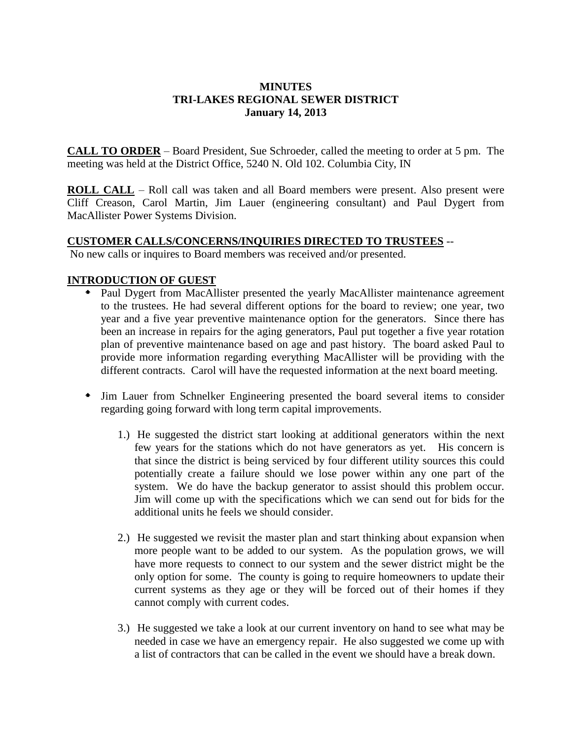### **MINUTES TRI-LAKES REGIONAL SEWER DISTRICT January 14, 2013**

**CALL TO ORDER** – Board President, Sue Schroeder, called the meeting to order at 5 pm. The meeting was held at the District Office, 5240 N. Old 102. Columbia City, IN

**ROLL CALL** – Roll call was taken and all Board members were present. Also present were Cliff Creason, Carol Martin, Jim Lauer (engineering consultant) and Paul Dygert from MacAllister Power Systems Division.

#### **CUSTOMER CALLS/CONCERNS/INQUIRIES DIRECTED TO TRUSTEES** --

No new calls or inquires to Board members was received and/or presented.

#### **INTRODUCTION OF GUEST**

- Paul Dygert from MacAllister presented the yearly MacAllister maintenance agreement to the trustees. He had several different options for the board to review; one year, two year and a five year preventive maintenance option for the generators. Since there has been an increase in repairs for the aging generators, Paul put together a five year rotation plan of preventive maintenance based on age and past history. The board asked Paul to provide more information regarding everything MacAllister will be providing with the different contracts. Carol will have the requested information at the next board meeting.
- Jim Lauer from Schnelker Engineering presented the board several items to consider regarding going forward with long term capital improvements.
	- 1.) He suggested the district start looking at additional generators within the next few years for the stations which do not have generators as yet. His concern is that since the district is being serviced by four different utility sources this could potentially create a failure should we lose power within any one part of the system. We do have the backup generator to assist should this problem occur. Jim will come up with the specifications which we can send out for bids for the additional units he feels we should consider.
	- 2.) He suggested we revisit the master plan and start thinking about expansion when more people want to be added to our system. As the population grows, we will have more requests to connect to our system and the sewer district might be the only option for some. The county is going to require homeowners to update their current systems as they age or they will be forced out of their homes if they cannot comply with current codes.
	- 3.) He suggested we take a look at our current inventory on hand to see what may be needed in case we have an emergency repair. He also suggested we come up with a list of contractors that can be called in the event we should have a break down.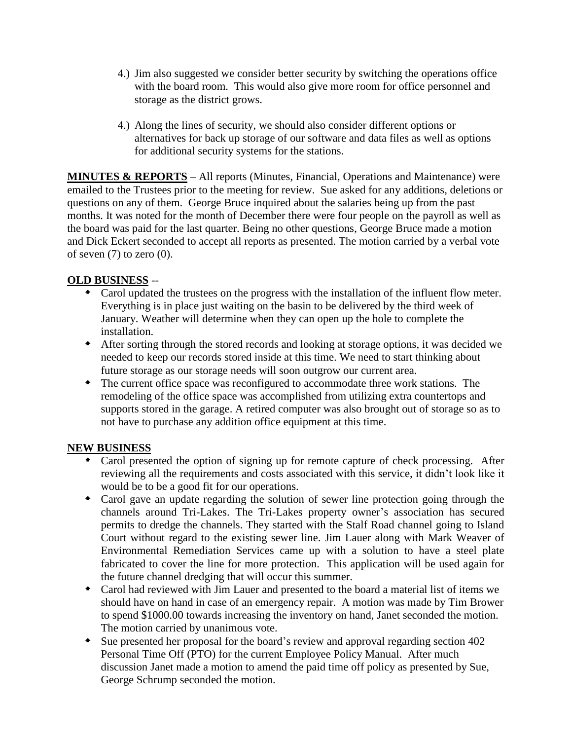- 4.) Jim also suggested we consider better security by switching the operations office with the board room. This would also give more room for office personnel and storage as the district grows.
- 4.) Along the lines of security, we should also consider different options or alternatives for back up storage of our software and data files as well as options for additional security systems for the stations.

**MINUTES & REPORTS** – All reports (Minutes, Financial, Operations and Maintenance) were emailed to the Trustees prior to the meeting for review. Sue asked for any additions, deletions or questions on any of them. George Bruce inquired about the salaries being up from the past months. It was noted for the month of December there were four people on the payroll as well as the board was paid for the last quarter. Being no other questions, George Bruce made a motion and Dick Eckert seconded to accept all reports as presented. The motion carried by a verbal vote of seven  $(7)$  to zero  $(0)$ .

# **OLD BUSINESS** --

- Carol updated the trustees on the progress with the installation of the influent flow meter. Everything is in place just waiting on the basin to be delivered by the third week of January. Weather will determine when they can open up the hole to complete the installation.
- After sorting through the stored records and looking at storage options, it was decided we needed to keep our records stored inside at this time. We need to start thinking about future storage as our storage needs will soon outgrow our current area.
- The current office space was reconfigured to accommodate three work stations. The remodeling of the office space was accomplished from utilizing extra countertops and supports stored in the garage. A retired computer was also brought out of storage so as to not have to purchase any addition office equipment at this time.

## **NEW BUSINESS**

- Carol presented the option of signing up for remote capture of check processing. After reviewing all the requirements and costs associated with this service, it didn't look like it would be to be a good fit for our operations.
- Carol gave an update regarding the solution of sewer line protection going through the channels around Tri-Lakes. The Tri-Lakes property owner's association has secured permits to dredge the channels. They started with the Stalf Road channel going to Island Court without regard to the existing sewer line. Jim Lauer along with Mark Weaver of Environmental Remediation Services came up with a solution to have a steel plate fabricated to cover the line for more protection. This application will be used again for the future channel dredging that will occur this summer.
- Carol had reviewed with Jim Lauer and presented to the board a material list of items we should have on hand in case of an emergency repair. A motion was made by Tim Brower to spend \$1000.00 towards increasing the inventory on hand, Janet seconded the motion. The motion carried by unanimous vote.
- Sue presented her proposal for the board's review and approval regarding section 402 Personal Time Off (PTO) for the current Employee Policy Manual. After much discussion Janet made a motion to amend the paid time off policy as presented by Sue, George Schrump seconded the motion.